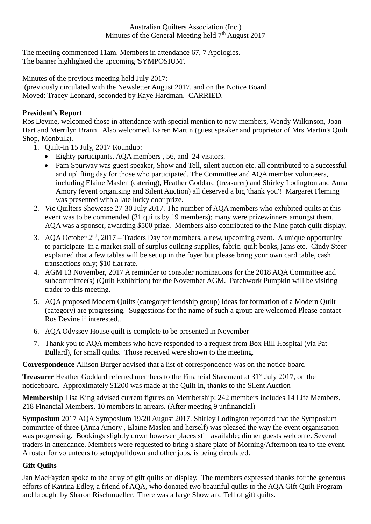The meeting commenced 11am. Members in attendance 67, 7 Apologies. The banner highlighted the upcoming 'SYMPOSIUM'.

Minutes of the previous meeting held July 2017:

(previously circulated with the Newsletter August 2017, and on the Notice Board Moved: Tracey Leonard, seconded by Kaye Hardman. CARRIED.

## **President's Report**

Ros Devine, welcomed those in attendance with special mention to new members, Wendy Wilkinson, Joan Hart and Merrilyn Brann. Also welcomed, Karen Martin (guest speaker and proprietor of Mrs Martin's Quilt Shop, Monbulk).

- 1. Quilt-In 15 July, 2017 Roundup:
	- Eighty participants. AQA members , 56, and 24 visitors.
	- Pam Spurway was guest speaker, Show and Tell, silent auction etc. all contributed to a successful and uplifting day for those who participated. The Committee and AQA member volunteers, including Elaine Maslen (catering), Heather Goddard (treasurer) and Shirley Lodington and Anna Amory (event organising and Silent Auction) all deserved a big 'thank you'! Margaret Fleming was presented with a late lucky door prize.
- 2. Vic Quilters Showcase 27-30 July 2017. The number of AQA members who exhibited quilts at this event was to be commended (31 quilts by 19 members); many were prizewinners amongst them. AQA was a sponsor, awarding \$500 prize. Members also contributed to the Nine patch quilt display.
- 3. AQA October  $2<sup>nd</sup>$ , 2017 Traders Day for members, a new, upcoming event. A unique opportunity to participate in a market stall of surplus quilting supplies, fabric. quilt books, jams etc. Cindy Steer explained that a few tables will be set up in the foyer but please bring your own card table, cash transactions only; \$10 flat rate.
- 4. AGM 13 November, 2017 A reminder to consider nominations for the 2018 AQA Committee and subcommittee(s) (Quilt Exhibition) for the November AGM. Patchwork Pumpkin will be visiting trader to this meeting.
- 5. AQA proposed Modern Quilts (category/friendship group) Ideas for formation of a Modern Quilt (category) are progressing. Suggestions for the name of such a group are welcomed Please contact Ros Devine if interested..
- 6. AQA Odyssey House quilt is complete to be presented in November
- 7. Thank you to AQA members who have responded to a request from Box Hill Hospital (via Pat Bullard), for small quilts. Those received were shown to the meeting.

**Correspondence** Allison Burger advised that a list of correspondence was on the notice board

**Treasurer** Heather Goddard referred members to the Financial Statement at 31<sup>st</sup> July 2017, on the noticeboard. Approximately \$1200 was made at the Quilt In, thanks to the Silent Auction

**Membership** Lisa King advised current figures on Membership: 242 members includes 14 Life Members, 218 Financial Members, 10 members in arrears. (After meeting 9 unfinancial)

**Symposium** 2017 AQA Symposium 19/20 August 2017. Shirley Lodington reported that the Symposium committee of three (Anna Amory , Elaine Maslen and herself) was pleased the way the event organisation was progressing. Bookings slightly down however places still available; dinner guests welcome. Several traders in attendance. Members were requested to bring a share plate of Morning/Afternoon tea to the event. A roster for volunteers to setup/pulldown and other jobs, is being circulated.

## **Gift Quilts**

Jan MacFayden spoke to the array of gift quilts on display. The members expressed thanks for the generous efforts of Katrina Edley, a friend of AQA, who donated two beautiful quilts to the AQA Gift Quilt Program and brought by Sharon Rischmueller. There was a large Show and Tell of gift quilts.